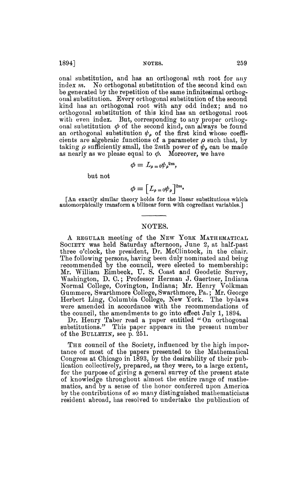onal substitution, and has an orthogonal mth root for any index m. No orthogonal substitution of the second kind can be generated by the repetition of the same infinitesimal orthogonal substitution. Every orthogonal substitution of the second kind has an orthogonal root with any odd index; and no orthogonal substitution of this kind has an orthogonal root with even index. But, corresponding to any proper orthogonal substitution  $\phi$  of the second kind, can always be found an orthogonal substitution  $\psi_{\rho}$  of the first kind whose coefficients are algebraic functions of a parameter  $\rho$  such that, by taking  $\rho$  sufficiently small, the 2*mth* power of  $\psi_{\rho}$  can be made as nearly as we please equal to  $\phi$ . Moreover, we have

$$
\phi=L_{\rho=0}\psi_{\rho}^{2m},
$$

but not

$$
\phi = \left[ L_{\rho = 0} \psi_{\rho} \right]^{2m}.
$$

[An exactly similar theory holds for the linear substitutions which automorphically transform a bilinear form with cogrediant variables.]

## NOTES.

A REGULAR meeting of the NEW YORK MATHEMATICAL SOCIETY was held Saturday afternoon, June 2, at half-past three o'clock, the president, Dr. McClintock, in the chair. The following persons, having been duly nominated and being recommended by the council, were elected to membership; Mr. William Eimbeck, U. S. Coast and Geodetic Survey, Washington, D. 0. ; Professor Herman J. Gaertner, Indiana Normal College, Covington, Indiana; Mr. Henry Volkman Gummere, Swarthmore College, Swarthmore, Pa. ; Mr. George Herbert Ling, Columbia College, New York. The by-laws were amended in accordance with the recommendations of the council, the amendments to go into effect July 1, 1894.

Dr. Henry Taber read a paper entitled "On orthogonal substitutions." This paper appears in the present number of the BULLETIN, see p. 251.

THE council of the Society, influenced by the high importance of most of the papers presented to the Mathematical Congress at Chicago in 1893, by the desirability of their publication collectively, prepared, as they were, to a large extent, for the purpose of giving a general survey of the present state of knowledge throughout almost the entire range of mathematics, and by a sense of the honor conferred upon America by the contributions of so many distinguished mathematicians resident abroad, has resolved to undertake the publication of